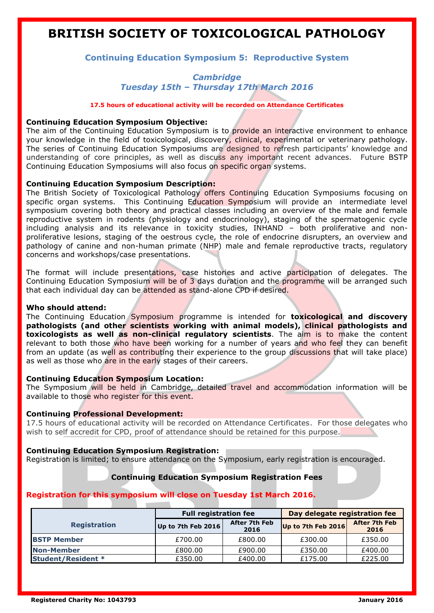# **BRITISH SOCIETY OF TOXICOLOGICAL PATHOLOGY**

# **Continuing Education Symposium 5: Reproductive System**

# *Cambridge Tuesday 15th – Thursday 17th March 2016*

**17.5 hours of educational activity will be recorded on Attendance Certificates** 

#### **Continuing Education Symposium Objective:**

The aim of the Continuing Education Symposium is to provide an interactive environment to enhance your knowledge in the field of toxicological, discovery, clinical, experimental or veterinary pathology. The series of Continuing Education Symposiums are designed to refresh participants' knowledge and understanding of core principles, as well as discuss any important recent advances. Future BSTP Continuing Education Symposiums will also focus on specific organ systems.

# **Continuing Education Symposium Description:**

The British Society of Toxicological Pathology offers Continuing Education Symposiums focusing on specific organ systems. This Continuing Education Symposium will provide an intermediate level symposium covering both theory and practical classes including an overview of the male and female reproductive system in rodents (physiology and endocrinology), staging of the spermatogenic cycle including analysis and its relevance in toxicity studies, INHAND – both proliferative and nonproliferative lesions, staging of the oestrous cycle, the role of endocrine disrupters, an overview and pathology of canine and non-human primate (NHP) male and female reproductive tracts, regulatory concerns and workshops/case presentations.

The format will include presentations, case histories and active participation of delegates. The Continuing Education Symposium will be of 3 days duration and the programme will be arranged such that each individual day can be attended as stand-alone CPD if desired.

#### **Who should attend:**

The Continuing Education Symposium programme is intended for **toxicological and discovery pathologists (and other scientists working with animal models), clinical pathologists and toxicologists as well as non-clinical regulatory scientists**. The aim is to make the content relevant to both those who have been working for a number of years and who feel they can benefit from an update (as well as contributing their experience to the group discussions that will take place) as well as those who are in the early stages of their careers.

#### **Continuing Education Symposium Location:**

The Symposium will be held in Cambridge, detailed travel and accommodation information will be available to those who register for this event.

#### **Continuing Professional Development:**

17.5 hours of educational activity will be recorded on Attendance Certificates. For those delegates who wish to self accredit for CPD, proof of attendance should be retained for this purpose.

#### **Continuing Education Symposium Registration:**

Registration is limited; to ensure attendance on the Symposium, early registration is encouraged.

# **Continuing Education Symposium Registration Fees**

# **Registration for this symposium will close on Tuesday 1st March 2016.**

|                           | <b>Full registration fee</b> |                       | Day delegate registration fee |                              |
|---------------------------|------------------------------|-----------------------|-------------------------------|------------------------------|
| <b>Registration</b>       | Up to 7th Feb 2016           | After 7th Feb<br>2016 | Up to 7th Feb 2016            | <b>After 7th Feb</b><br>2016 |
| <b>BSTP Member</b>        | £700.00                      | £800.00               | £300.00                       | £350.00                      |
| <b>Non-Member</b>         | £800.00                      | £900.00               | £350.00                       | £400.00                      |
| <b>Student/Resident *</b> | £350.00                      | £400.00               | £175.00                       | £225.00                      |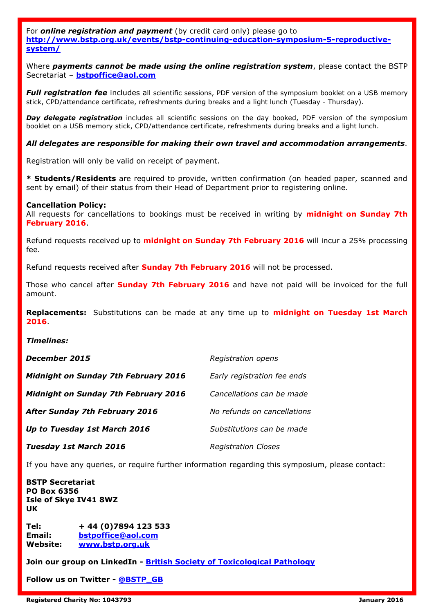For *online registration and payment* (by credit card only) please go to **[http://www.bstp.org.uk/events/bstp-continuing-education-symposium-5-reproductive](http://www.bstp.org.uk/events/bstp-continuing-education-symposium-5-reproductive-system/)[system/](http://www.bstp.org.uk/events/bstp-continuing-education-symposium-5-reproductive-system/)**

Where *payments cannot be made using the online registration system*, please contact the BSTP Secretariat – **[bstpoffice@aol.com](mailto:bstpoffice@aol.com)**

**Full registration fee** includes all scientific sessions, PDF version of the symposium booklet on a USB memory stick, CPD/attendance certificate, refreshments during breaks and a light lunch (Tuesday - Thursday).

**Day delegate registration** includes all scientific sessions on the day booked, PDF version of the symposium booklet on a USB memory stick, CPD/attendance certificate, refreshments during breaks and a light lunch.

#### *All delegates are responsible for making their own travel and accommodation arrangements*.

Registration will only be valid on receipt of payment.

**\* Students/Residents** are required to provide, written confirmation (on headed paper, scanned and sent by email) of their status from their Head of Department prior to registering online.

#### **Cancellation Policy:**

All requests for cancellations to bookings must be received in writing by **midnight on Sunday 7th February 2016**.

Refund requests received up to **midnight on Sunday 7th February 2016** will incur a 25% processing fee.

Refund requests received after **Sunday 7th February 2016** will not be processed.

Those who cancel after **Sunday 7th February 2016** and have not paid will be invoiced for the full amount.

**Replacements:** Substitutions can be made at any time up to **midnight on Tuesday 1st March 2016**.

#### *Timelines:*

| December 2015                               | Registration opens          |
|---------------------------------------------|-----------------------------|
| Midnight on Sunday 7th February 2016        | Early registration fee ends |
| <b>Midnight on Sunday 7th February 2016</b> | Cancellations can be made   |
| <b>After Sunday 7th February 2016</b>       | No refunds on cancellations |
| Up to Tuesday 1st March 2016                | Substitutions can be made   |
| <b>Tuesday 1st March 2016</b>               | <b>Registration Closes</b>  |

If you have any queries, or require further information regarding this symposium, please contact:

**BSTP Secretariat PO Box 6356 Isle of Skye IV41 8WZ UK**

**Tel: + 44 (0)7894 123 533 Email: [bstpoffice@aol.com](mailto:bstopffice@aol.com) Website: [www.bstp.org.uk](http://www.bstp.org.uk/)**

**Join our group on LinkedIn - [British Society of Toxicological Pathology](https://www.linkedin.com/groups?home=&gid=7497699)**

**Follow us on Twitter - [@BSTP\\_GB](https://twitter.com/BSTP_GB)**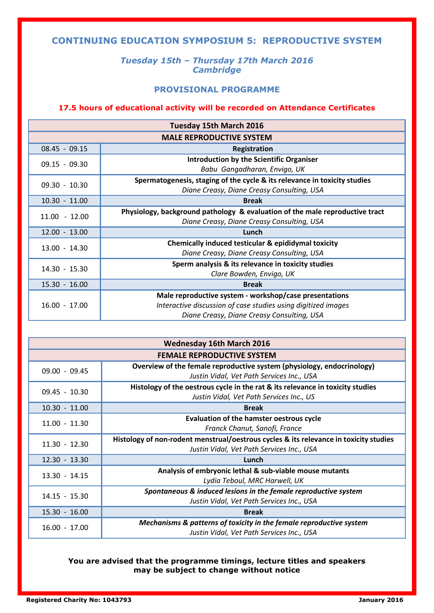# **CONTINUING EDUCATION SYMPOSIUM 5: REPRODUCTIVE SYSTEM**

# *Tuesday 15th – Thursday 17th March 2016 Cambridge*

# **PROVISIONAL PROGRAMME**

# **17.5 hours of educational activity will be recorded on Attendance Certificates**

| <b>Tuesday 15th March 2016</b>  |                                                                              |  |  |
|---------------------------------|------------------------------------------------------------------------------|--|--|
| <b>MALE REPRODUCTIVE SYSTEM</b> |                                                                              |  |  |
| $08.45 - 09.15$                 | <b>Registration</b>                                                          |  |  |
| $09.15 - 09.30$                 | Introduction by the Scientific Organiser                                     |  |  |
|                                 | Babu Gangadharan, Envigo, UK                                                 |  |  |
| $09.30 - 10.30$                 | Spermatogenesis, staging of the cycle & its relevance in toxicity studies    |  |  |
|                                 | Diane Creasy, Diane Creasy Consulting, USA                                   |  |  |
| $10.30 - 11.00$                 | <b>Break</b>                                                                 |  |  |
| $11.00 - 12.00$                 | Physiology, background pathology & evaluation of the male reproductive tract |  |  |
|                                 | Diane Creasy, Diane Creasy Consulting, USA                                   |  |  |
| $12.00 - 13.00$                 | Lunch                                                                        |  |  |
| $13.00 - 14.30$                 | Chemically induced testicular & epididymal toxicity                          |  |  |
|                                 | Diane Creasy, Diane Creasy Consulting, USA                                   |  |  |
| $14.30 - 15.30$                 | Sperm analysis & its relevance in toxicity studies                           |  |  |
|                                 | Clare Bowden, Envigo, UK                                                     |  |  |
| $15.30 - 16.00$                 | <b>Break</b>                                                                 |  |  |
| $16.00 - 17.00$                 | Male reproductive system - workshop/case presentations                       |  |  |
|                                 | Interactive discussion of case studies using digitized images                |  |  |
|                                 | Diane Creasy, Diane Creasy Consulting, USA                                   |  |  |

| <b>Wednesday 16th March 2016</b>  |                                                                                                                                    |  |
|-----------------------------------|------------------------------------------------------------------------------------------------------------------------------------|--|
| <b>FEMALE REPRODUCTIVE SYSTEM</b> |                                                                                                                                    |  |
| $09.00 - 09.45$                   | Overview of the female reproductive system (physiology, endocrinology)<br>Justin Vidal, Vet Path Services Inc., USA                |  |
| 09.45 - 10.30                     | Histology of the oestrous cycle in the rat & its relevance in toxicity studies<br>Justin Vidal, Vet Path Services Inc., US         |  |
| $10.30 - 11.00$                   | <b>Break</b>                                                                                                                       |  |
| $11.00 - 11.30$                   | <b>Evaluation of the hamster oestrous cycle</b><br>Franck Chanut, Sanofi, France                                                   |  |
| $11.30 - 12.30$                   | Histology of non-rodent menstrual/oestrous cycles & its relevance in toxicity studies<br>Justin Vidal, Vet Path Services Inc., USA |  |
| $12.30 - 13.30$                   | Lunch                                                                                                                              |  |
| $13.30 - 14.15$                   | Analysis of embryonic lethal & sub-viable mouse mutants<br>Lydia Teboul, MRC Harwell, UK                                           |  |
| 14.15 - 15.30                     | Spontaneous & induced lesions in the female reproductive system<br>Justin Vidal, Vet Path Services Inc., USA                       |  |
| 15.30 - 16.00                     | <b>Break</b>                                                                                                                       |  |
| $16.00 - 17.00$                   | Mechanisms & patterns of toxicity in the female reproductive system<br>Justin Vidal, Vet Path Services Inc., USA                   |  |

**You are advised that the programme timings, lecture titles and speakers may be subject to change without notice**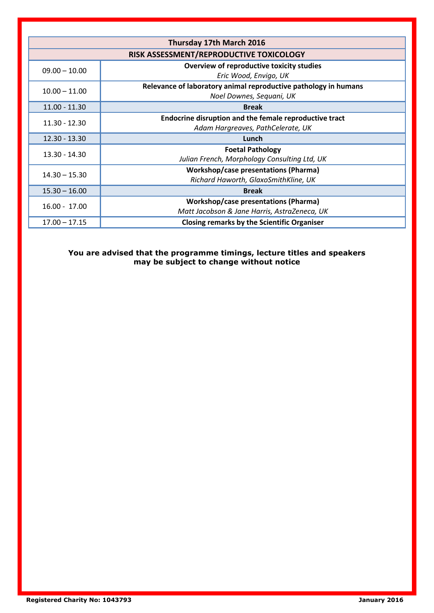| Thursday 17th March 2016                |                                                                                             |  |  |  |
|-----------------------------------------|---------------------------------------------------------------------------------------------|--|--|--|
| RISK ASSESSMENT/REPRODUCTIVE TOXICOLOGY |                                                                                             |  |  |  |
| $09.00 - 10.00$                         | Overview of reproductive toxicity studies<br>Eric Wood, Envigo, UK                          |  |  |  |
| $10.00 - 11.00$                         | Relevance of laboratory animal reproductive pathology in humans<br>Noel Downes, Sequani, UK |  |  |  |
| $11.00 - 11.30$                         | <b>Break</b>                                                                                |  |  |  |
| 11.30 - 12.30                           | Endocrine disruption and the female reproductive tract<br>Adam Hargreaves, PathCelerate, UK |  |  |  |
| $12.30 - 13.30$                         | Lunch                                                                                       |  |  |  |
| 13.30 - 14.30                           | <b>Foetal Pathology</b><br>Julian French, Morphology Consulting Ltd, UK                     |  |  |  |
| $14.30 - 15.30$                         | <b>Workshop/case presentations (Pharma)</b><br>Richard Haworth, GlaxoSmithKline, UK         |  |  |  |
| $15.30 - 16.00$                         | <b>Break</b>                                                                                |  |  |  |
| $16.00 - 17.00$                         | <b>Workshop/case presentations (Pharma)</b><br>Matt Jacobson & Jane Harris, AstraZeneca, UK |  |  |  |
| $17.00 - 17.15$                         | <b>Closing remarks by the Scientific Organiser</b>                                          |  |  |  |

**You are advised that the programme timings, lecture titles and speakers may be subject to change without notice**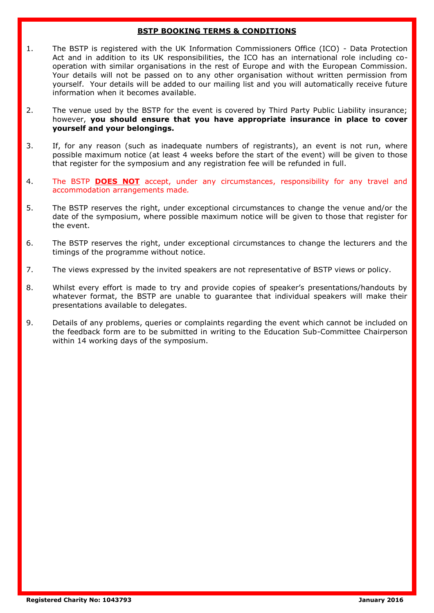# **BSTP BOOKING TERMS & CONDITIONS**

- 1. The BSTP is registered with the UK Information Commissioners Office (ICO) Data Protection Act and in addition to its UK responsibilities, the ICO has an international role including cooperation with similar organisations in the rest of Europe and with the European Commission. Your details will not be passed on to any other organisation without written permission from yourself. Your details will be added to our mailing list and you will automatically receive future information when it becomes available.
- 2. The venue used by the BSTP for the event is covered by Third Party Public Liability insurance; however, **you should ensure that you have appropriate insurance in place to cover yourself and your belongings.**
- 3. If, for any reason (such as inadequate numbers of registrants), an event is not run, where possible maximum notice (at least 4 weeks before the start of the event) will be given to those that register for the symposium and any registration fee will be refunded in full.
- 4. The BSTP **DOES NOT** accept, under any circumstances, responsibility for any travel and accommodation arrangements made*.*
- 5. The BSTP reserves the right, under exceptional circumstances to change the venue and/or the date of the symposium, where possible maximum notice will be given to those that register for the event.
- 6. The BSTP reserves the right, under exceptional circumstances to change the lecturers and the timings of the programme without notice.
- 7. The views expressed by the invited speakers are not representative of BSTP views or policy.
- 8. Whilst every effort is made to try and provide copies of speaker's presentations/handouts by whatever format, the BSTP are unable to guarantee that individual speakers will make their presentations available to delegates.
- 9. Details of any problems, queries or complaints regarding the event which cannot be included on the feedback form are to be submitted in writing to the Education Sub-Committee Chairperson within 14 working days of the symposium.